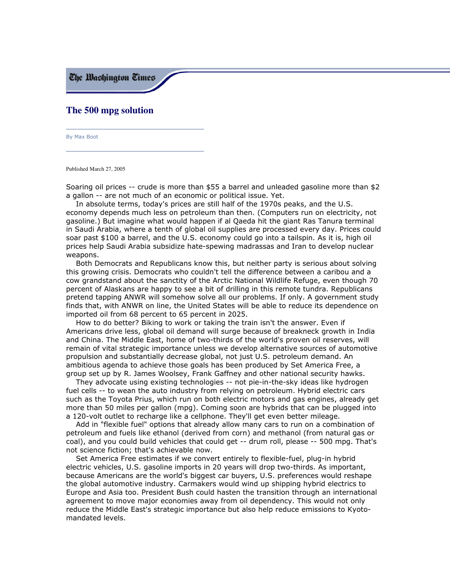The Washinaton Times

## The 500 mpg solution

By Max Boot

Published March 27, 2005

Soaring oil prices -- crude is more than \$55 a barrel and unleaded gasoline more than \$2 a gallon -- are not much of an economic or political issue. Yet.

In absolute terms, today's prices are still half of the 1970s peaks, and the U.S. economy depends much less on petroleum than then. (Computers run on electricity, not gasoline.) But imagine what would happen if al Qaeda hit the giant Ras Tanura terminal in Saudi Arabia, where a tenth of global oil supplies are processed every day. Prices could soar past \$100 a barrel, and the U.S. economy could go into a tailspin. As it is, high oil prices help Saudi Arabia subsidize hate-spewing madrassas and Iran to develop nuclear weapons.

Both Democrats and Republicans know this, but neither party is serious about solving this growing crisis. Democrats who couldn't tell the difference between a caribou and a cow grandstand about the sanctity of the Arctic National Wildlife Refuge, even though 70 percent of Alaskans are happy to see a bit of drilling in this remote tundra. Republicans pretend tapping ANWR will somehow solve all our problems. If only. A government study finds that, with ANWR on line, the United States will be able to reduce its dependence on imported oil from 68 percent to 65 percent in 2025.

How to do better? Biking to work or taking the train isn't the answer. Even if Americans drive less, global oil demand will surge because of breakneck growth in India and China. The Middle East, home of two-thirds of the world's proven oil reserves, will remain of vital strategic importance unless we develop alternative sources of automotive propulsion and substantially decrease global, not just U.S. petroleum demand. An ambitious agenda to achieve those goals has been produced by Set America Free, a group set up by R. James Woolsey, Frank Gaffney and other national security hawks.

They advocate using existing technologies -- not pie-in-the-sky ideas like hydrogen fuel cells -- to wean the auto industry from relying on petroleum. Hybrid electric cars such as the Toyota Prius, which run on both electric motors and gas engines, already get more than 50 miles per gallon (mpg). Coming soon are hybrids that can be plugged into a 120-volt outlet to recharge like a cellphone. They'll get even better mileage.

Add in "flexible fuel" options that already allow many cars to run on a combination of petroleum and fuels like ethanol (derived from corn) and methanol (from natural gas or coal), and you could build vehicles that could get -- drum roll, please -- 500 mpg. That's not science fiction: that's achievable now.

Set America Free estimates if we convert entirely to flexible-fuel, plug-in hybrid electric vehicles, U.S. gasoline imports in 20 years will drop two-thirds. As important, because Americans are the world's biggest car buyers, U.S. preferences would reshape the global automotive industry. Carmakers would wind up shipping hybrid electrics to Europe and Asia too. President Bush could hasten the transition through an international agreement to move major economies away from oil dependency. This would not only reduce the Middle East's strategic importance but also help reduce emissions to Kyotomandated levels.